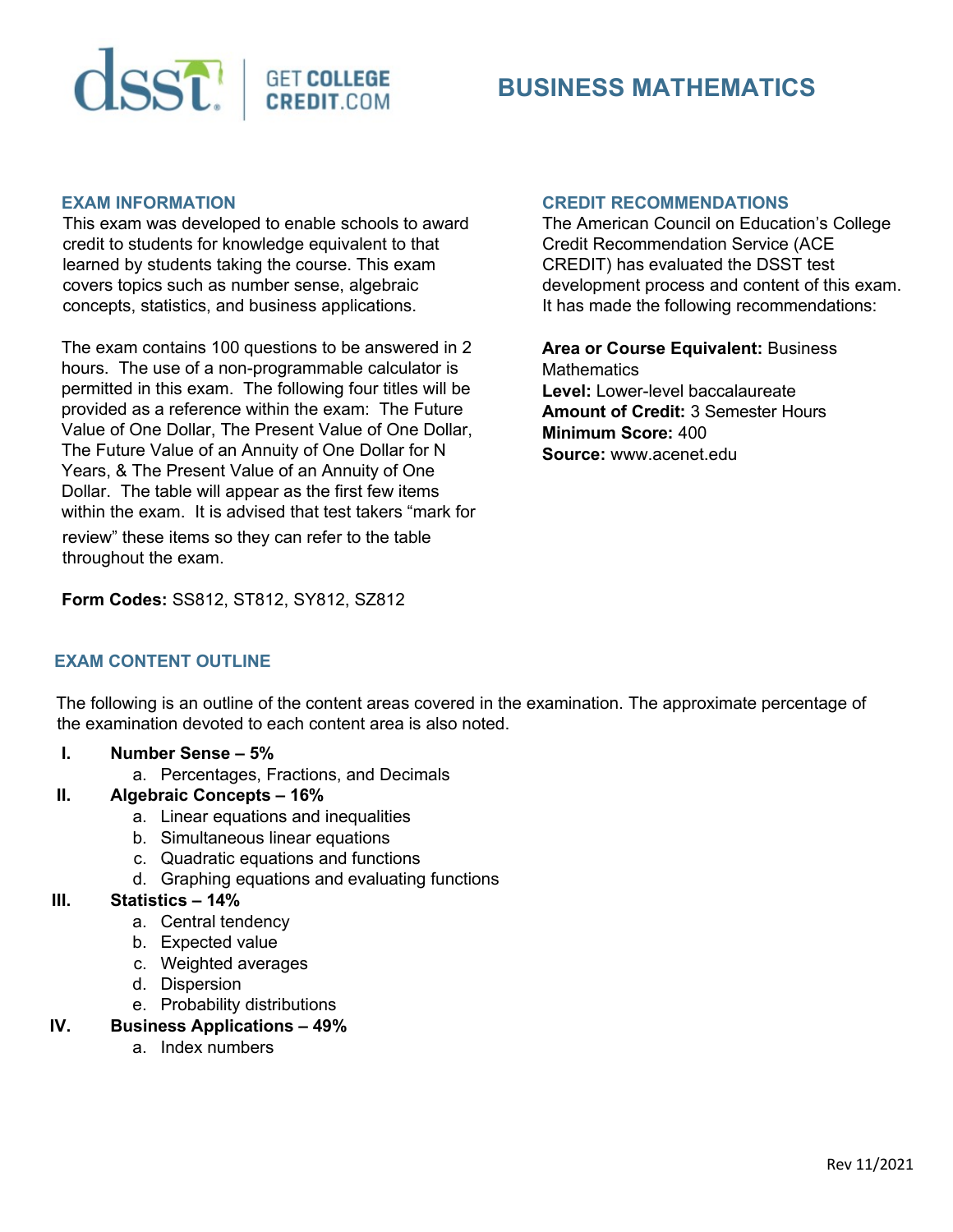

# **BUSINESS MATHEMATICS**

#### **EXAM INFORMATION**

This exam was developed to enable schools to award credit to students for knowledge equivalent to that learned by students taking the course. This exam covers topics such as number sense, algebraic concepts, statistics, and business applications.

The exam contains 100 questions to be answered in 2 hours. The use of a non-programmable calculator is permitted in this exam. The following four titles will be provided as a reference within the exam: The Future Value of One Dollar, The Present Value of One Dollar, The Future Value of an Annuity of One Dollar for N Years, & The Present Value of an Annuity of One Dollar. The table will appear as the first few items within the exam. It is advised that test takers "mark for review" these items so they can refer to the table throughout the exam.

#### **CREDIT RECOMMENDATIONS**

The American Council on Education's College Credit Recommendation Service (ACE CREDIT) has evaluated the DSST test development process and content of this exam. It has made the following recommendations:

**Area or Course Equivalent:** Business **Mathematics Level:** Lower-level baccalaureate **Amount of Credit:** 3 Semester Hours **Minimum Score:** 400 **Source:** www.acenet.edu

## **Form Codes:** SS812, ST812, SY812, SZ812

## **EXAM CONTENT OUTLINE**

The following is an outline of the content areas covered in the examination. The approximate percentage of the examination devoted to each content area is also noted.

#### **I. Number Sense – 5%**

a. Percentages, Fractions, and Decimals

## **II. Algebraic Concepts – 16%**

- a. Linear equations and inequalities
- b. Simultaneous linear equations
- c. Quadratic equations and functions
- d. Graphing equations and evaluating functions

## **III. Statistics – 14%**

- a. Central tendency
- b. Expected value
- c. Weighted averages
- d. Dispersion
- e. Probability distributions

## **IV. Business Applications – 49%**

a. Index numbers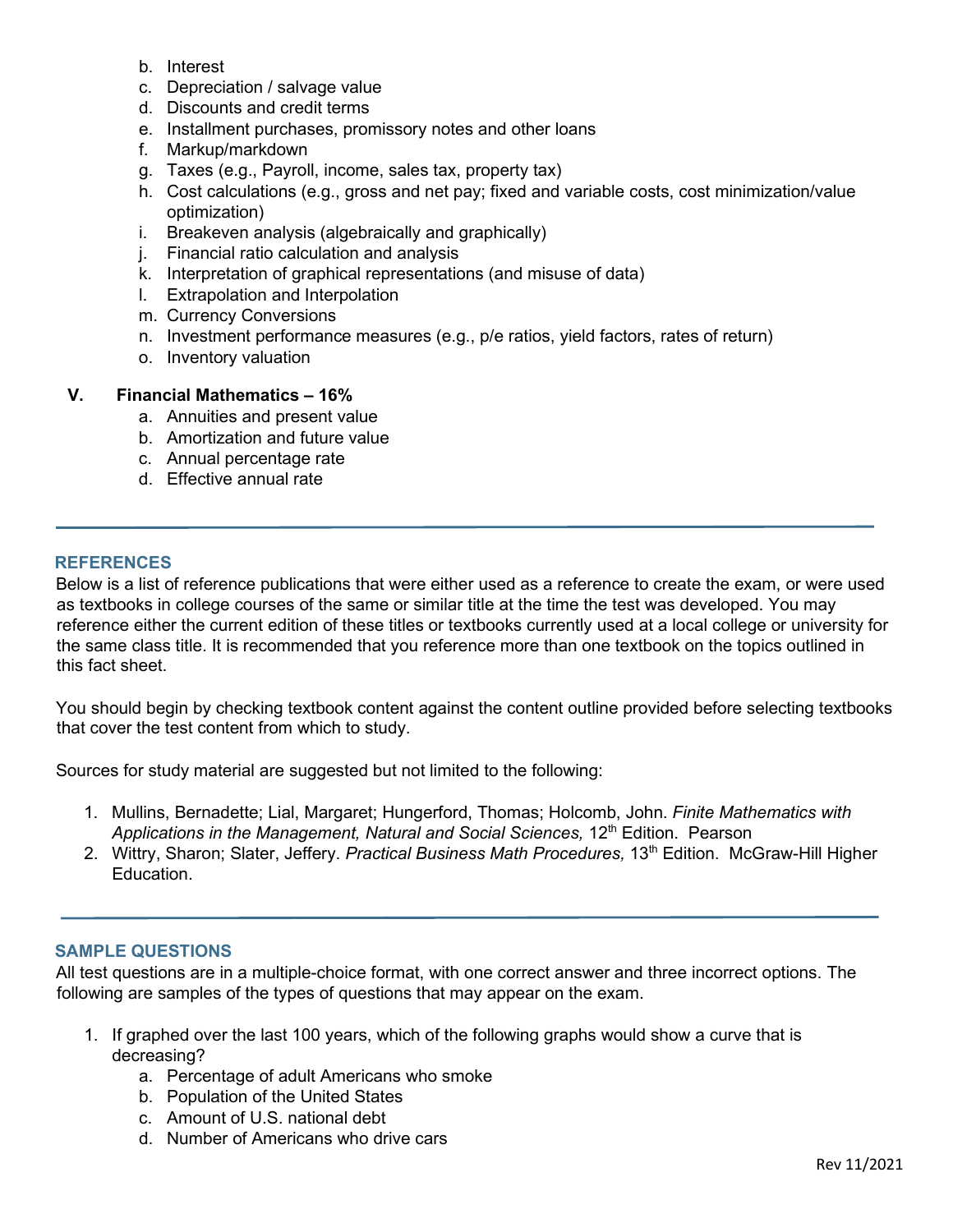- b. Interest
- c. Depreciation / salvage value
- d. Discounts and credit terms
- e. Installment purchases, promissory notes and other loans
- f. Markup/markdown
- g. Taxes (e.g., Payroll, income, sales tax, property tax)
- h. Cost calculations (e.g., gross and net pay; fixed and variable costs, cost minimization/value optimization)
- i. Breakeven analysis (algebraically and graphically)
- j. Financial ratio calculation and analysis
- k. Interpretation of graphical representations (and misuse of data)
- l. Extrapolation and Interpolation
- m. Currency Conversions
- n. Investment performance measures (e.g., p/e ratios, yield factors, rates of return)
- o. Inventory valuation

## **V. Financial Mathematics – 16%**

- a. Annuities and present value
- b. Amortization and future value
- c. Annual percentage rate
- d. Effective annual rate

## **REFERENCES**

Below is a list of reference publications that were either used as a reference to create the exam, or were used as textbooks in college courses of the same or similar title at the time the test was developed. You may reference either the current edition of these titles or textbooks currently used at a local college or university for the same class title. It is recommended that you reference more than one textbook on the topics outlined in this fact sheet.

You should begin by checking textbook content against the content outline provided before selecting textbooks that cover the test content from which to study.

Sources for study material are suggested but not limited to the following:

- 1. Mullins, Bernadette; Lial, Margaret; Hungerford, Thomas; Holcomb, John. *Finite Mathematics with Applications in the Management, Natural and Social Sciences,* 12th Edition. Pearson
- 2. Wittry, Sharon; Slater, Jeffery. *Practical Business Math Procedures*, 13<sup>th</sup> Edition. McGraw-Hill Higher Education.

## **SAMPLE QUESTIONS**

All test questions are in a multiple-choice format, with one correct answer and three incorrect options. The following are samples of the types of questions that may appear on the exam.

- 1. If graphed over the last 100 years, which of the following graphs would show a curve that is decreasing?
	- a. Percentage of adult Americans who smoke
	- b. Population of the United States
	- c. Amount of U.S. national debt
	- d. Number of Americans who drive cars